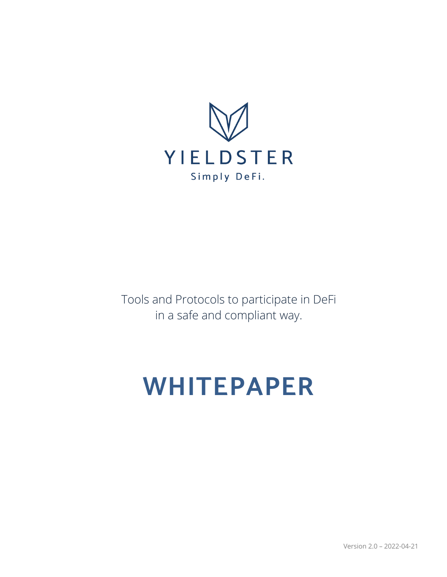

Tools and Protocols to participate in DeFi in a safe and compliant way.

# **WHITEPAPER**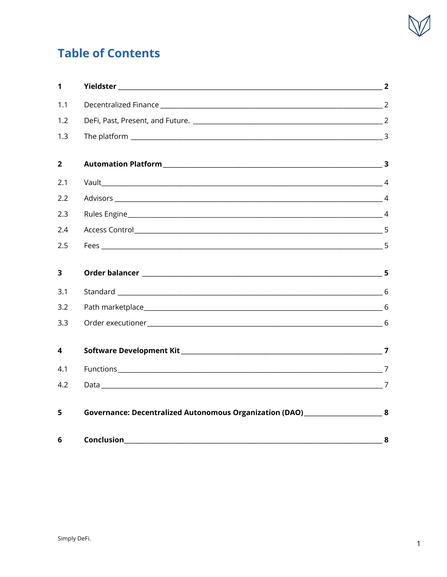

# **Table of Contents**

| $\mathbf 1$    | <b>The Second Second Second Second Second Second Second Second Second Second Second Second Second Second Second S</b> |   |
|----------------|-----------------------------------------------------------------------------------------------------------------------|---|
| 1.1            |                                                                                                                       |   |
| 1.2            |                                                                                                                       |   |
| 1.3            |                                                                                                                       |   |
| $\overline{2}$ |                                                                                                                       |   |
| 2.1            |                                                                                                                       |   |
| 2.2            |                                                                                                                       |   |
| 2.3            |                                                                                                                       |   |
| 2.4            |                                                                                                                       |   |
| 2.5            |                                                                                                                       |   |
| 3              |                                                                                                                       |   |
| 3.1            |                                                                                                                       |   |
| 3.2            | Path marketplace 6                                                                                                    |   |
| 3.3            |                                                                                                                       |   |
| 4              |                                                                                                                       |   |
| 4.1            |                                                                                                                       |   |
| 4.2            |                                                                                                                       |   |
| 5              | Governance: Decentralized Autonomous Organization (DAO) _______________________8                                      |   |
| 6              | Conclusion                                                                                                            | 8 |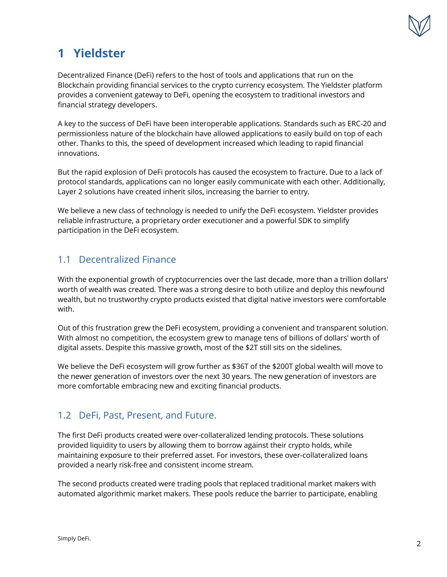

# **1 Yieldster**

Decentralized Finance (DeFi) refers to the host of tools and applications that run on the Blockchain providing financial services to the crypto currency ecosystem. The Yieldster platform provides a convenient gateway to DeFi, opening the ecosystem to traditional investors and financial strategy developers.

A key to the success of DeFi have been interoperable applications. Standards such as ERC-20 and permissionless nature of the blockchain have allowed applications to easily build on top of each other. Thanks to this, the speed of development increased which leading to rapid financial innovations.

But the rapid explosion of DeFi protocols has caused the ecosystem to fracture. Due to a lack of protocol standards, applications can no longer easily communicate with each other. Additionally, Layer 2 solutions have created inherit silos, increasing the barrier to entry.

We believe a new class of technology is needed to unify the DeFi ecosystem. Yieldster provides reliable infrastructure, a proprietary order executioner and a powerful SDK to simplify participation in the DeFi ecosystem.

## 1.1 Decentralized Finance

With the exponential growth of cryptocurrencies over the last decade, more than a trillion dollars' worth of wealth was created. There was a strong desire to both utilize and deploy this newfound wealth, but no trustworthy crypto products existed that digital native investors were comfortable with.

Out of this frustration grew the DeFi ecosystem, providing a convenient and transparent solution. With almost no competition, the ecosystem grew to manage tens of billions of dollars' worth of digital assets. Despite this massive growth, most of the \$2T still sits on the sidelines.

We believe the DeFi ecosystem will grow further as \$36T of the \$200T global wealth will move to the newer generation of investors over the next 30 years. The new generation of investors are more comfortable embracing new and exciting financial products.

## 1.2 DeFi, Past, Present, and Future.

The first DeFi products created were over-collateralized lending protocols. These solutions provided liquidity to users by allowing them to borrow against their crypto holds, while maintaining exposure to their preferred asset. For investors, these over-collateralized loans provided a nearly risk-free and consistent income stream.

The second products created were trading pools that replaced traditional market makers with automated algorithmic market makers. These pools reduce the barrier to participate, enabling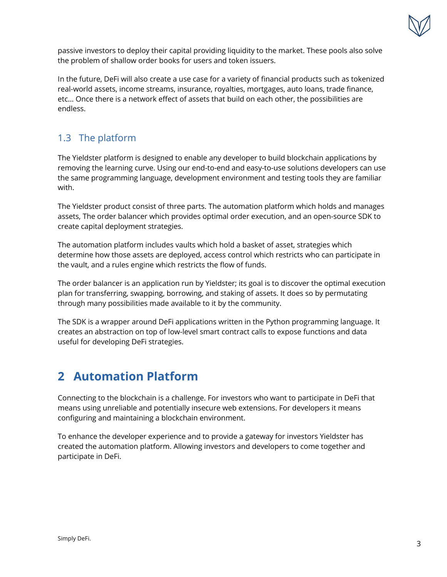

passive investors to deploy their capital providing liquidity to the market. These pools also solve the problem of shallow order books for users and token issuers.

In the future, DeFi will also create a use case for a variety of financial products such as tokenized real-world assets, income streams, insurance, royalties, mortgages, auto loans, trade finance, etc... Once there is a network effect of assets that build on each other, the possibilities are endless.

# 1.3 The platform

The Yieldster platform is designed to enable any developer to build blockchain applications by removing the learning curve. Using our end-to-end and easy-to-use solutions developers can use the same programming language, development environment and testing tools they are familiar with.

The Yieldster product consist of three parts. The automation platform which holds and manages assets, The order balancer which provides optimal order execution, and an open-source SDK to create capital deployment strategies.

The automation platform includes vaults which hold a basket of asset, strategies which determine how those assets are deployed, access control which restricts who can participate in the vault, and a rules engine which restricts the flow of funds.

The order balancer is an application run by Yieldster; its goal is to discover the optimal execution plan for transferring, swapping, borrowing, and staking of assets. It does so by permutating through many possibilities made available to it by the community.

The SDK is a wrapper around DeFi applications written in the Python programming language. It creates an abstraction on top of low-level smart contract calls to expose functions and data useful for developing DeFi strategies.

# **2 Automation Platform**

Connecting to the blockchain is a challenge. For investors who want to participate in DeFi that means using unreliable and potentially insecure web extensions. For developers it means configuring and maintaining a blockchain environment.

To enhance the developer experience and to provide a gateway for investors Yieldster has created the automation platform. Allowing investors and developers to come together and participate in DeFi.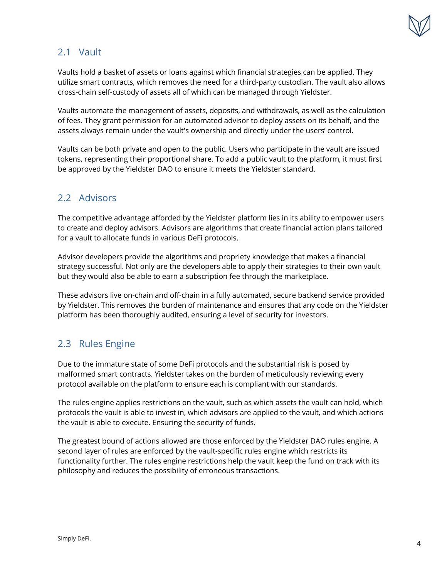

### 2.1 Vault

Vaults hold a basket of assets or loans against which financial strategies can be applied. They utilize smart contracts, which removes the need for a third-party custodian. The vault also allows cross-chain self-custody of assets all of which can be managed through Yieldster.

Vaults automate the management of assets, deposits, and withdrawals, as well as the calculation of fees. They grant permission for an automated advisor to deploy assets on its behalf, and the assets always remain under the vault's ownership and directly under the users' control.

Vaults can be both private and open to the public. Users who participate in the vault are issued tokens, representing their proportional share. To add a public vault to the platform, it must first be approved by the Yieldster DAO to ensure it meets the Yieldster standard.

#### 2.2 Advisors

The competitive advantage afforded by the Yieldster platform lies in its ability to empower users to create and deploy advisors. Advisors are algorithms that create financial action plans tailored for a vault to allocate funds in various DeFi protocols.

Advisor developers provide the algorithms and propriety knowledge that makes a financial strategy successful. Not only are the developers able to apply their strategies to their own vault but they would also be able to earn a subscription fee through the marketplace.

These advisors live on-chain and off-chain in a fully automated, secure backend service provided by Yieldster. This removes the burden of maintenance and ensures that any code on the Yieldster platform has been thoroughly audited, ensuring a level of security for investors.

## 2.3 Rules Engine

Due to the immature state of some DeFi protocols and the substantial risk is posed by malformed smart contracts. Yieldster takes on the burden of meticulously reviewing every protocol available on the platform to ensure each is compliant with our standards.

The rules engine applies restrictions on the vault, such as which assets the vault can hold, which protocols the vault is able to invest in, which advisors are applied to the vault, and which actions the vault is able to execute. Ensuring the security of funds.

The greatest bound of actions allowed are those enforced by the Yieldster DAO rules engine. A second layer of rules are enforced by the vault-specific rules engine which restricts its functionality further. The rules engine restrictions help the vault keep the fund on track with its philosophy and reduces the possibility of erroneous transactions.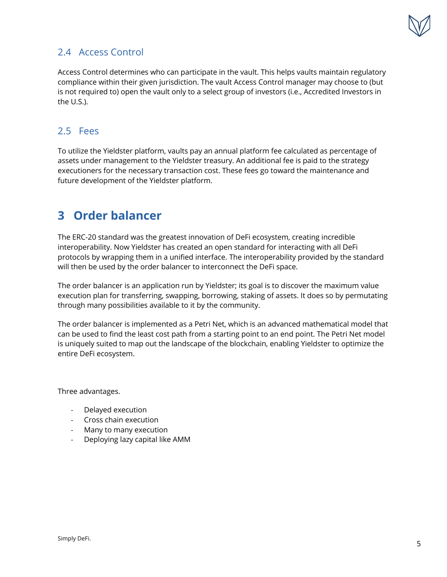

## 2.4 Access Control

Access Control determines who can participate in the vault. This helps vaults maintain regulatory compliance within their given jurisdiction. The vault Access Control manager may choose to (but is not required to) open the vault only to a select group of investors (i.e., Accredited Investors in the U.S.).

#### 2.5 Fees

To utilize the Yieldster platform, vaults pay an annual platform fee calculated as percentage of assets under management to the Yieldster treasury. An additional fee is paid to the strategy executioners for the necessary transaction cost. These fees go toward the maintenance and future development of the Yieldster platform.

# **3 Order balancer**

The ERC-20 standard was the greatest innovation of DeFi ecosystem, creating incredible interoperability. Now Yieldster has created an open standard for interacting with all DeFi protocols by wrapping them in a unified interface. The interoperability provided by the standard will then be used by the order balancer to interconnect the DeFi space.

The order balancer is an application run by Yieldster; its goal is to discover the maximum value execution plan for transferring, swapping, borrowing, staking of assets. It does so by permutating through many possibilities available to it by the community.

The order balancer is implemented as a Petri Net, which is an advanced mathematical model that can be used to find the least cost path from a starting point to an end point. The Petri Net model is uniquely suited to map out the landscape of the blockchain, enabling Yieldster to optimize the entire DeFi ecosystem.

Three advantages.

- Delayed execution
- Cross chain execution
- Many to many execution
- Deploying lazy capital like AMM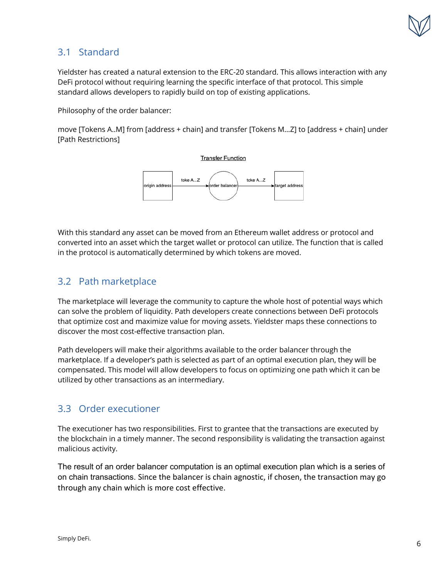

## 3.1 Standard

Yieldster has created a natural extension to the ERC-20 standard. This allows interaction with any DeFi protocol without requiring learning the specific interface of that protocol. This simple standard allows developers to rapidly build on top of existing applications.

Philosophy of the order balancer:

move [Tokens A..M] from [address + chain] and transfer [Tokens M…Z] to [address + chain] under [Path Restrictions]



With this standard any asset can be moved from an Ethereum wallet address or protocol and converted into an asset which the target wallet or protocol can utilize. The function that is called in the protocol is automatically determined by which tokens are moved.

## 3.2 Path marketplace

The marketplace will leverage the community to capture the whole host of potential ways which can solve the problem of liquidity. Path developers create connections between DeFi protocols that optimize cost and maximize value for moving assets. Yieldster maps these connections to discover the most cost-effective transaction plan.

Path developers will make their algorithms available to the order balancer through the marketplace. If a developer's path is selected as part of an optimal execution plan, they will be compensated. This model will allow developers to focus on optimizing one path which it can be utilized by other transactions as an intermediary.

#### 3.3 Order executioner

The executioner has two responsibilities. First to grantee that the transactions are executed by the blockchain in a timely manner. The second responsibility is validating the transaction against malicious activity.

The result of an order balancer computation is an optimal execution plan which is a series of on chain transactions. Since the balancer is chain agnostic, if chosen, the transaction may go through any chain which is more cost effective.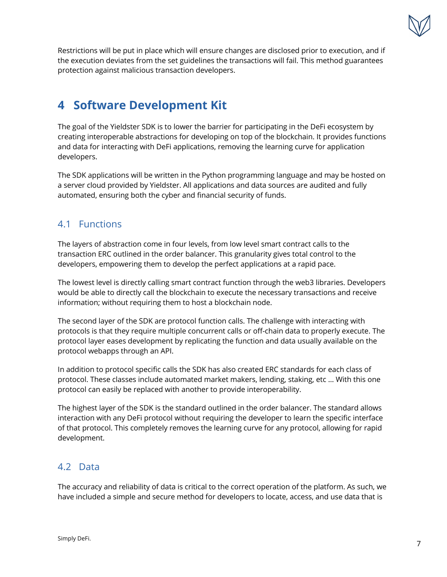

Restrictions will be put in place which will ensure changes are disclosed prior to execution, and if the execution deviates from the set guidelines the transactions will fail. This method guarantees protection against malicious transaction developers.

# **4 Software Development Kit**

The goal of the Yieldster SDK is to lower the barrier for participating in the DeFi ecosystem by creating interoperable abstractions for developing on top of the blockchain. It provides functions and data for interacting with DeFi applications, removing the learning curve for application developers.

The SDK applications will be written in the Python programming language and may be hosted on a server cloud provided by Yieldster. All applications and data sources are audited and fully automated, ensuring both the cyber and financial security of funds.

#### 4.1 Functions

The layers of abstraction come in four levels, from low level smart contract calls to the transaction ERC outlined in the order balancer. This granularity gives total control to the developers, empowering them to develop the perfect applications at a rapid pace.

The lowest level is directly calling smart contract function through the web3 libraries. Developers would be able to directly call the blockchain to execute the necessary transactions and receive information; without requiring them to host a blockchain node.

The second layer of the SDK are protocol function calls. The challenge with interacting with protocols is that they require multiple concurrent calls or off-chain data to properly execute. The protocol layer eases development by replicating the function and data usually available on the protocol webapps through an API.

In addition to protocol specific calls the SDK has also created ERC standards for each class of protocol. These classes include automated market makers, lending, staking, etc … With this one protocol can easily be replaced with another to provide interoperability.

The highest layer of the SDK is the standard outlined in the order balancer. The standard allows interaction with any DeFi protocol without requiring the developer to learn the specific interface of that protocol. This completely removes the learning curve for any protocol, allowing for rapid development.

## 4.2 Data

The accuracy and reliability of data is critical to the correct operation of the platform. As such, we have included a simple and secure method for developers to locate, access, and use data that is